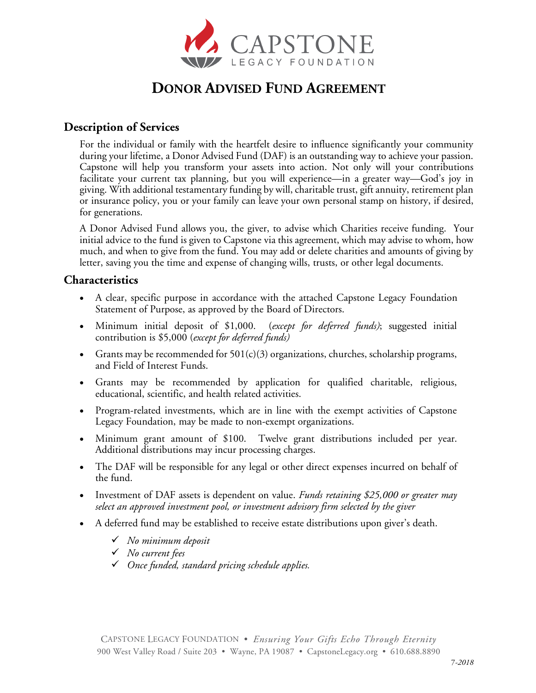

# **DONOR ADVISED FUND AGREEMENT**

# **Description of Services**

For the individual or family with the heartfelt desire to influence significantly your community during your lifetime, a Donor Advised Fund (DAF) is an outstanding way to achieve your passion. Capstone will help you transform your assets into action. Not only will your contributions facilitate your current tax planning, but you will experience—in a greater way—God's joy in giving. With additional testamentary funding by will, charitable trust, gift annuity, retirement plan or insurance policy, you or your family can leave your own personal stamp on history, if desired, for generations.

A Donor Advised Fund allows you, the giver, to advise which Charities receive funding. Your initial advice to the fund is given to Capstone via this agreement, which may advise to whom, how much, and when to give from the fund. You may add or delete charities and amounts of giving by letter, saving you the time and expense of changing wills, trusts, or other legal documents.

# **Characteristics**

- A clear, specific purpose in accordance with the attached Capstone Legacy Foundation Statement of Purpose, as approved by the Board of Directors.
- Minimum initial deposit of \$1,000. (*except for deferred funds)*; suggested initial contribution is \$5,000 (*except for deferred funds)*
- Grants may be recommended for  $501(c)(3)$  organizations, churches, scholarship programs, and Field of Interest Funds.
- Grants may be recommended by application for qualified charitable, religious, educational, scientific, and health related activities.
- Program-related investments, which are in line with the exempt activities of Capstone Legacy Foundation, may be made to non-exempt organizations.
- Minimum grant amount of \$100. Twelve grant distributions included per year. Additional distributions may incur processing charges.
- The DAF will be responsible for any legal or other direct expenses incurred on behalf of the fund.
- Investment of DAF assets is dependent on value. *Funds retaining \$25,000 or greater may select an approved investment pool, or investment advisory firm selected by the giver*
- A deferred fund may be established to receive estate distributions upon giver's death.
	- ü *No minimum deposit*
	- ü *No current fees*
	- ü *Once funded, standard pricing schedule applies.*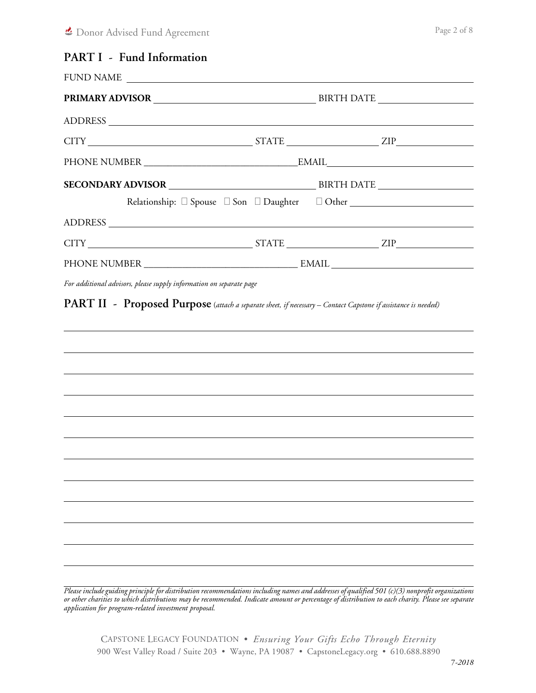# **PART I - Fund Information**

| Relationship: Spouse Son Daughter DOther COMER COMERCIAL SPONSITY OF SPONSITY OF SPONSITY OF SPONSITY OF SPONSITY                                                                                                              |  |  |  |
|--------------------------------------------------------------------------------------------------------------------------------------------------------------------------------------------------------------------------------|--|--|--|
| ADDRESS NORTH SERVICES AND RESERVE THE SERVE OF THE SERVE OF THE SERVE OF THE SERVE OF THE SERVE OF THE SERVE OF THE SERVE OF THE SERVE OF THE SERVE OF THE SERVE OF THE SERVE OF THE SERVE OF THE SERVE OF THE SERVE OF THE S |  |  |  |
|                                                                                                                                                                                                                                |  |  |  |
|                                                                                                                                                                                                                                |  |  |  |
|                                                                                                                                                                                                                                |  |  |  |
|                                                                                                                                                                                                                                |  |  |  |
|                                                                                                                                                                                                                                |  |  |  |
|                                                                                                                                                                                                                                |  |  |  |
|                                                                                                                                                                                                                                |  |  |  |
|                                                                                                                                                                                                                                |  |  |  |
|                                                                                                                                                                                                                                |  |  |  |
|                                                                                                                                                                                                                                |  |  |  |

*Please include guiding principle for distribution recommendations including names and addresses of qualified 501 (c)(3) nonprofit organizations or other charities to which distributions may be recommended. Indicate amount or percentage of distribution to each charity. Please see separate application for program-related investment proposal.*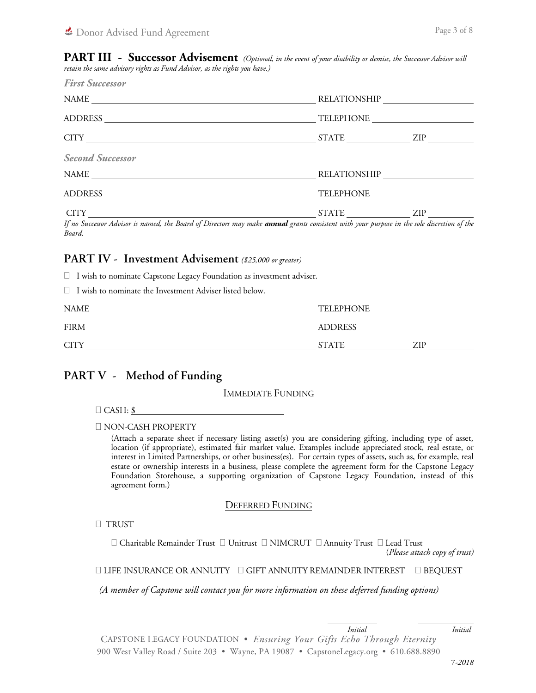**PART III - Successor Advisement** *(Optional, in the event of your disability or demise, the Successor Advisor will retain the same advisory rights as Fund Advisor, as the rights you have.)*

| <b>First Successor</b>  |                  |                     |  |
|-------------------------|------------------|---------------------|--|
|                         |                  |                     |  |
|                         | <b>TELEPHONE</b> |                     |  |
|                         | STATE ZIP        |                     |  |
| <b>Second Successor</b> |                  |                     |  |
| NAME                    |                  | <b>RELATIONSHIP</b> |  |
|                         | <b>TELEPHONE</b> |                     |  |
|                         | STATE ZIP        |                     |  |

*If no Successor Advisor is named, the Board of Directors may make annual grants consistent with your purpose in the sole discretion of the Board.*

# **PART IV - Investment Advisement** *(\$25,000 or greater)*

 $\Box$  I wish to nominate Capstone Legacy Foundation as investment adviser.

| □ I wish to nominate the Investment Adviser listed below. |  |
|-----------------------------------------------------------|--|
|                                                           |  |

| <b>NAME</b>                 | TELEPHONE      |
|-----------------------------|----------------|
| <b>FIRM</b>                 | <b>ADDRESS</b> |
| <b>CITY</b><br><b>STATE</b> | ZIP            |

# **PART V - Method of Funding**

#### IMMEDIATE FUNDING

 $\Box$  CASH: \$

0 NON-CASH PROPERTY

(Attach a separate sheet if necessary listing asset(s) you are considering gifting, including type of asset, location (if appropriate), estimated fair market value. Examples include appreciated stock, real estate, or interest in Limited Partnerships, or other business(es). For certain types of assets, such as, for example, real estate or ownership interests in a business, please complete the agreement form for the Capstone Legacy Foundation Storehouse, a supporting organization of Capstone Legacy Foundation, instead of this agreement form.)

#### DEFERRED FUNDING

0 TRUST

 $\Box$  Charitable Remainder Trust  $\Box$  Unitrust  $\Box$  NIMCRUT  $\Box$  Annuity Trust  $\Box$  Lead Trust (*Please attach copy of trust)*

 $\Box$  LIFE INSURANCE OR ANNUITY  $\Box$  GIFT ANNUITY REMAINDER INTEREST  $\Box$  BEQUEST

*(A member of Capstone will contact you for more information on these deferred funding options)*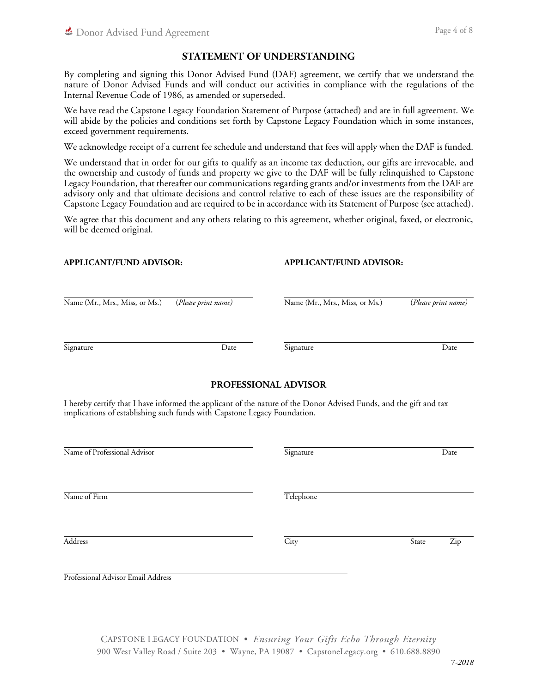# **STATEMENT OF UNDERSTANDING**

By completing and signing this Donor Advised Fund (DAF) agreement, we certify that we understand the nature of Donor Advised Funds and will conduct our activities in compliance with the regulations of the Internal Revenue Code of 1986, as amended or superseded.

We have read the Capstone Legacy Foundation Statement of Purpose (attached) and are in full agreement. We will abide by the policies and conditions set forth by Capstone Legacy Foundation which in some instances, exceed government requirements.

We acknowledge receipt of a current fee schedule and understand that fees will apply when the DAF is funded.

We understand that in order for our gifts to qualify as an income tax deduction, our gifts are irrevocable, and the ownership and custody of funds and property we give to the DAF will be fully relinquished to Capstone Legacy Foundation, that thereafter our communications regarding grants and/or investments from the DAF are advisory only and that ultimate decisions and control relative to each of these issues are the responsibility of Capstone Legacy Foundation and are required to be in accordance with its Statement of Purpose (see attached).

We agree that this document and any others relating to this agreement, whether original, faxed, or electronic, will be deemed original.

#### **APPLICANT/FUND ADVISOR: APPLICANT/FUND ADVISOR:**

| Name (Mr., Mrs., Miss, or Ms.) | (Please print name) | Name (Mr., Mrs., Miss, or Ms.) | (Please print name) |  |
|--------------------------------|---------------------|--------------------------------|---------------------|--|
|                                |                     |                                |                     |  |
| Signature                      | Date                | Signature                      | Date                |  |

## **PROFESSIONAL ADVISOR**

I hereby certify that I have informed the applicant of the nature of the Donor Advised Funds, and the gift and tax implications of establishing such funds with Capstone Legacy Foundation.

| Date |
|------|
|      |

Name of Firm Telephone

Address and State Zip State Zip State Zip State State State State State State State State State State State State State State State State State State State State State State State State State State State State State State

Professional Advisor Email Address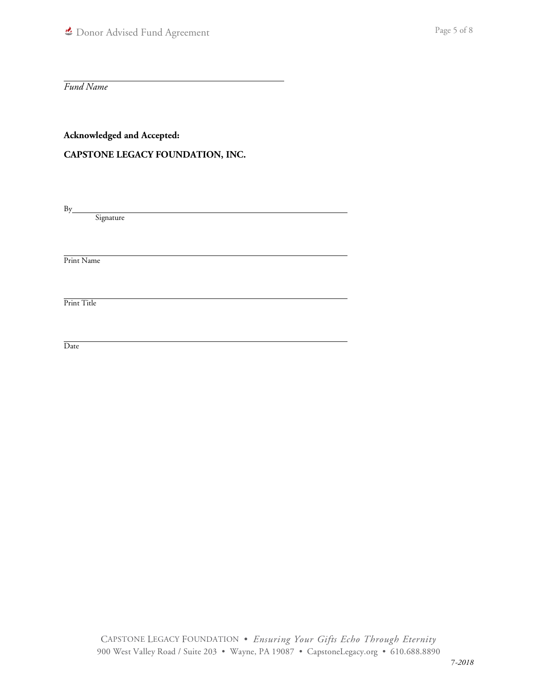*Fund Name*

**Acknowledged and Accepted:**

# **CAPSTONE LEGACY FOUNDATION, INC.**

 $By$ 

Signature

Print Name

Print Title

Date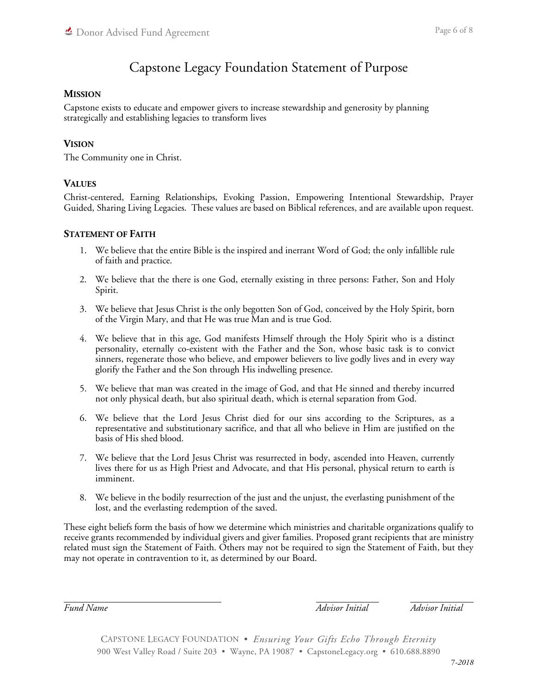# Capstone Legacy Foundation Statement of Purpose

# **MISSION**

Capstone exists to educate and empower givers to increase stewardship and generosity by planning strategically and establishing legacies to transform lives

# **VISION**

The Community one in Christ.

# **VALUES**

Christ-centered, Earning Relationships, Evoking Passion, Empowering Intentional Stewardship, Prayer Guided, Sharing Living Legacies. These values are based on Biblical references, and are available upon request.

## **STATEMENT OF FAITH**

- 1. We believe that the entire Bible is the inspired and inerrant Word of God; the only infallible rule of faith and practice.
- 2. We believe that the there is one God, eternally existing in three persons: Father, Son and Holy Spirit.
- 3. We believe that Jesus Christ is the only begotten Son of God, conceived by the Holy Spirit, born of the Virgin Mary, and that He was true Man and is true God.
- 4. We believe that in this age, God manifests Himself through the Holy Spirit who is a distinct personality, eternally co-existent with the Father and the Son, whose basic task is to convict sinners, regenerate those who believe, and empower believers to live godly lives and in every way glorify the Father and the Son through His indwelling presence.
- 5. We believe that man was created in the image of God, and that He sinned and thereby incurred not only physical death, but also spiritual death, which is eternal separation from God.
- 6. We believe that the Lord Jesus Christ died for our sins according to the Scriptures, as a representative and substitutionary sacrifice, and that all who believe in Him are justified on the basis of His shed blood.
- 7. We believe that the Lord Jesus Christ was resurrected in body, ascended into Heaven, currently lives there for us as High Priest and Advocate, and that His personal, physical return to earth is imminent.
- 8. We believe in the bodily resurrection of the just and the unjust, the everlasting punishment of the lost, and the everlasting redemption of the saved.

These eight beliefs form the basis of how we determine which ministries and charitable organizations qualify to receive grants recommended by individual givers and giver families. Proposed grant recipients that are ministry related must sign the Statement of Faith. Others may not be required to sign the Statement of Faith, but they may not operate in contravention to it, as determined by our Board.

*Fund Name Advisor Initial Advisor Initial*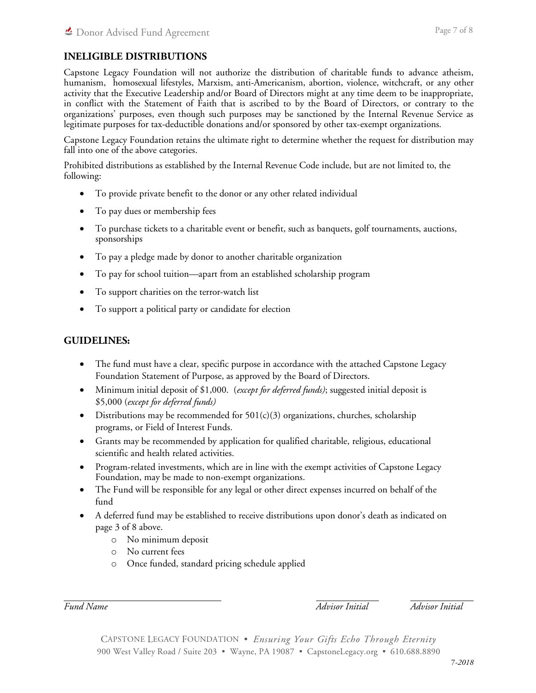# **INELIGIBLE DISTRIBUTIONS**

Capstone Legacy Foundation will not authorize the distribution of charitable funds to advance atheism, humanism, homosexual lifestyles, Marxism, anti-Americanism, abortion, violence, witchcraft, or any other activity that the Executive Leadership and/or Board of Directors might at any time deem to be inappropriate, in conflict with the Statement of Faith that is ascribed to by the Board of Directors, or contrary to the organizations' purposes, even though such purposes may be sanctioned by the Internal Revenue Service as legitimate purposes for tax-deductible donations and/or sponsored by other tax-exempt organizations.

Capstone Legacy Foundation retains the ultimate right to determine whether the request for distribution may fall into one of the above categories.

Prohibited distributions as established by the Internal Revenue Code include, but are not limited to, the following:

- To provide private benefit to the donor or any other related individual
- To pay dues or membership fees
- To purchase tickets to a charitable event or benefit, such as banquets, golf tournaments, auctions, sponsorships
- To pay a pledge made by donor to another charitable organization
- To pay for school tuition—apart from an established scholarship program
- To support charities on the terror-watch list
- To support a political party or candidate for election

# **GUIDELINES:**

- The fund must have a clear, specific purpose in accordance with the attached Capstone Legacy Foundation Statement of Purpose, as approved by the Board of Directors.
- Minimum initial deposit of \$1,000. (*except for deferred funds)*; suggested initial deposit is \$5,000 (*except for deferred funds)*
- Distributions may be recommended for  $501(c)(3)$  organizations, churches, scholarship programs, or Field of Interest Funds.
- Grants may be recommended by application for qualified charitable, religious, educational scientific and health related activities.
- Program-related investments, which are in line with the exempt activities of Capstone Legacy Foundation, may be made to non-exempt organizations.
- The Fund will be responsible for any legal or other direct expenses incurred on behalf of the fund
- A deferred fund may be established to receive distributions upon donor's death as indicated on page 3 of 8 above.
	- o No minimum deposit
	- o No current fees
	- o Once funded, standard pricing schedule applied

*Fund Name Advisor Initial Advisor Initial*